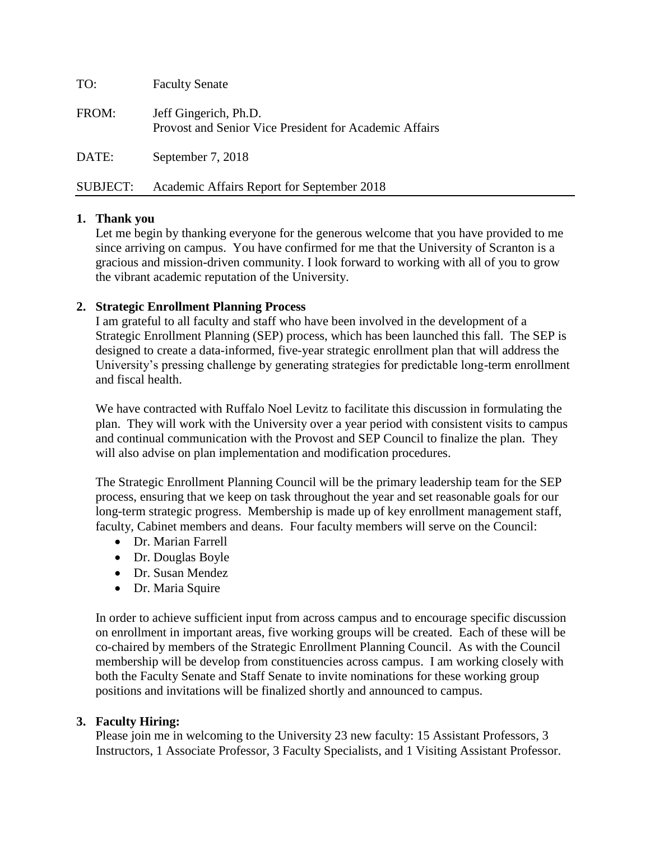| TO:             | <b>Faculty Senate</b>                                                           |
|-----------------|---------------------------------------------------------------------------------|
| FROM:           | Jeff Gingerich, Ph.D.<br>Provost and Senior Vice President for Academic Affairs |
| DATE:           | September 7, 2018                                                               |
| <b>SUBJECT:</b> | Academic Affairs Report for September 2018                                      |

### **1. Thank you**

Let me begin by thanking everyone for the generous welcome that you have provided to me since arriving on campus. You have confirmed for me that the University of Scranton is a gracious and mission-driven community. I look forward to working with all of you to grow the vibrant academic reputation of the University.

#### **2. Strategic Enrollment Planning Process**

I am grateful to all faculty and staff who have been involved in the development of a Strategic Enrollment Planning (SEP) process, which has been launched this fall. The SEP is designed to create a data-informed, five-year strategic enrollment plan that will address the University's pressing challenge by generating strategies for predictable long-term enrollment and fiscal health.

We have contracted with Ruffalo Noel Levitz to facilitate this discussion in formulating the plan. They will work with the University over a year period with consistent visits to campus and continual communication with the Provost and SEP Council to finalize the plan. They will also advise on plan implementation and modification procedures.

The Strategic Enrollment Planning Council will be the primary leadership team for the SEP process, ensuring that we keep on task throughout the year and set reasonable goals for our long-term strategic progress. Membership is made up of key enrollment management staff, faculty, Cabinet members and deans. Four faculty members will serve on the Council:

- Dr. Marian Farrell
- Dr. Douglas Boyle
- Dr. Susan Mendez
- Dr. Maria Squire

In order to achieve sufficient input from across campus and to encourage specific discussion on enrollment in important areas, five working groups will be created. Each of these will be co-chaired by members of the Strategic Enrollment Planning Council. As with the Council membership will be develop from constituencies across campus. I am working closely with both the Faculty Senate and Staff Senate to invite nominations for these working group positions and invitations will be finalized shortly and announced to campus.

### **3. Faculty Hiring:**

Please join me in welcoming to the University 23 new faculty: 15 Assistant Professors, 3 Instructors, 1 Associate Professor, 3 Faculty Specialists, and 1 Visiting Assistant Professor.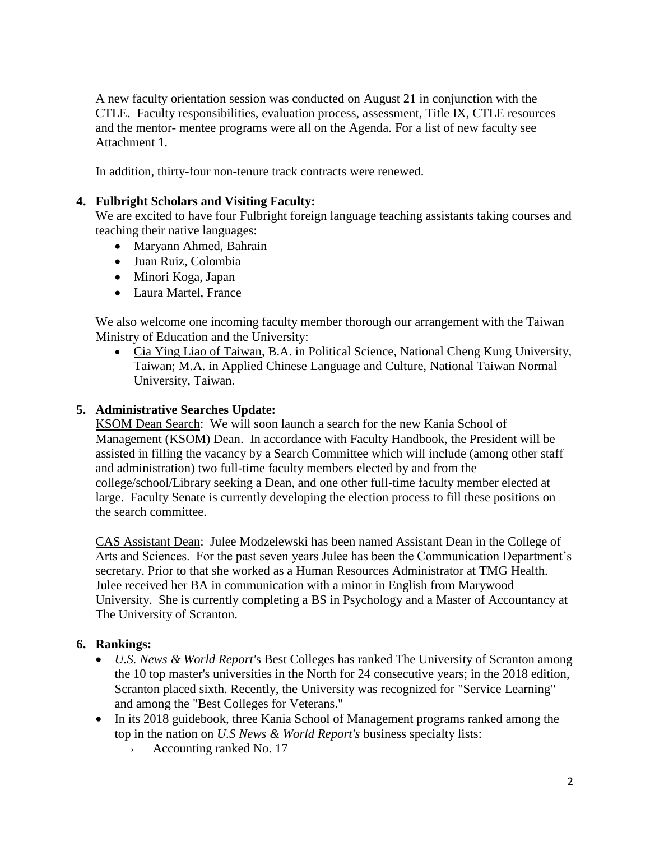A new faculty orientation session was conducted on August 21 in conjunction with the CTLE. Faculty responsibilities, evaluation process, assessment, Title IX, CTLE resources and the mentor- mentee programs were all on the Agenda. For a list of new faculty see Attachment 1.

In addition, thirty-four non-tenure track contracts were renewed.

### **4. Fulbright Scholars and Visiting Faculty:**

We are excited to have four Fulbright foreign language teaching assistants taking courses and teaching their native languages:

- Maryann Ahmed, Bahrain
- Juan Ruiz, Colombia
- Minori Koga, Japan
- Laura Martel, France

We also welcome one incoming faculty member thorough our arrangement with the Taiwan Ministry of Education and the University:

 Cia Ying Liao of Taiwan, B.A. in Political Science, National Cheng Kung University, Taiwan; M.A. in Applied Chinese Language and Culture, National Taiwan Normal University, Taiwan.

#### **5. Administrative Searches Update:**

KSOM Dean Search: We will soon launch a search for the new Kania School of Management (KSOM) Dean. In accordance with Faculty Handbook, the President will be assisted in filling the vacancy by a Search Committee which will include (among other staff and administration) two full-time faculty members elected by and from the college/school/Library seeking a Dean, and one other full-time faculty member elected at large. Faculty Senate is currently developing the election process to fill these positions on the search committee.

CAS Assistant Dean: Julee Modzelewski has been named Assistant Dean in the College of Arts and Sciences. For the past seven years Julee has been the Communication Department's secretary. Prior to that she worked as a Human Resources Administrator at TMG Health. Julee received her BA in communication with a minor in English from Marywood University. She is currently completing a BS in Psychology and a Master of Accountancy at The University of Scranton.

#### **6. Rankings:**

- *U.S. News & World Report'*s Best Colleges has ranked The University of Scranton among the 10 top master's universities in the North for 24 consecutive years; in the 2018 edition, Scranton placed sixth. Recently, the University was recognized for "Service Learning" and among the "Best Colleges for Veterans."
- In its 2018 guidebook, three Kania School of Management programs ranked among the top in the nation on *U.S News & World Report's* business specialty lists:
	- › Accounting ranked No. 17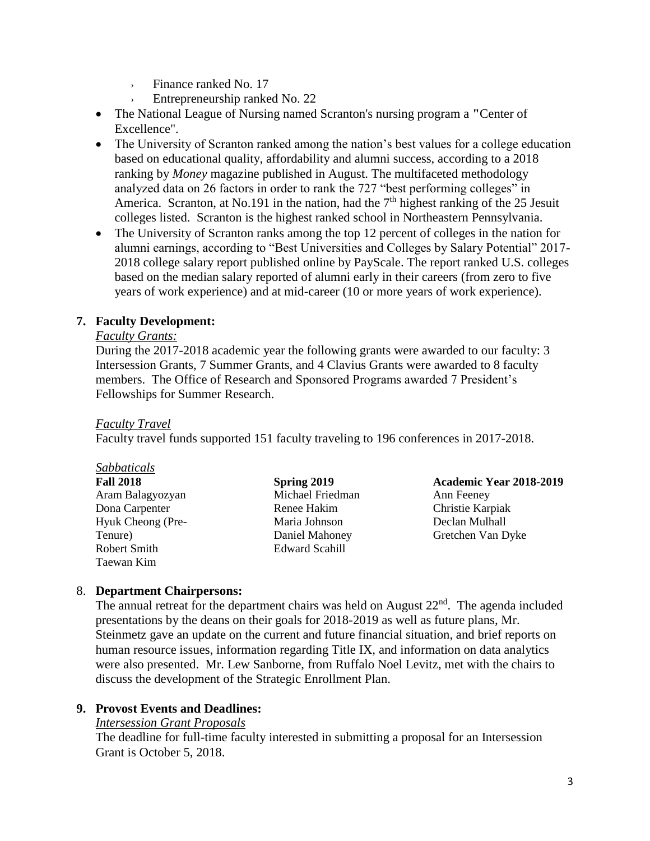- › Finance ranked No. 17
- Entrepreneurship ranked No. 22
- The National League of Nursing named Scranton's nursing program a **"**Center of Excellence".
- The University of Scranton ranked among the nation's best values for a college education based on educational quality, affordability and alumni success, according to a 2018 ranking by *Money* magazine published in August. The multifaceted methodology analyzed data on 26 factors in order to rank the 727 "best performing colleges" in America. Scranton, at No.191 in the nation, had the  $7<sup>th</sup>$  highest ranking of the 25 Jesuit colleges listed. Scranton is the highest ranked school in Northeastern Pennsylvania.
- The University of Scranton ranks among the top 12 percent of colleges in the nation for alumni earnings, according to "Best Universities and Colleges by Salary Potential" 2017- 2018 college salary report published online by PayScale. The report ranked U.S. colleges based on the median salary reported of alumni early in their careers (from zero to five years of work experience) and at mid-career (10 or more years of work experience).

#### **7. Faculty Development:**

#### *Faculty Grants:*

During the 2017-2018 academic year the following grants were awarded to our faculty: 3 Intersession Grants, 7 Summer Grants, and 4 Clavius Grants were awarded to 8 faculty members. The Office of Research and Sponsored Programs awarded 7 President's Fellowships for Summer Research.

#### *Faculty Travel*

Faculty travel funds supported 151 faculty traveling to 196 conferences in 2017-2018.

| Sabbaticals       |                  |                         |
|-------------------|------------------|-------------------------|
| <b>Fall 2018</b>  | Spring 2019      | Academic Year 2018-2019 |
| Aram Balagyozyan  | Michael Friedman | Ann Feeney              |
| Dona Carpenter    | Renee Hakim      | Christie Karpiak        |
| Hyuk Cheong (Pre- | Maria Johnson    | Declan Mulhall          |
| Tenure)           | Daniel Mahoney   | Gretchen Van Dyke       |
| Robert Smith      | Edward Scahill   |                         |
| Taewan Kim        |                  |                         |

#### 8. **Department Chairpersons:**

The annual retreat for the department chairs was held on August  $22<sup>nd</sup>$ . The agenda included presentations by the deans on their goals for 2018-2019 as well as future plans, Mr. Steinmetz gave an update on the current and future financial situation, and brief reports on human resource issues, information regarding Title IX, and information on data analytics were also presented. Mr. Lew Sanborne, from Ruffalo Noel Levitz, met with the chairs to discuss the development of the Strategic Enrollment Plan.

#### **9. Provost Events and Deadlines:**

#### *Intersession Grant Proposals*

The deadline for full-time faculty interested in submitting a proposal for an Intersession Grant is October 5, 2018.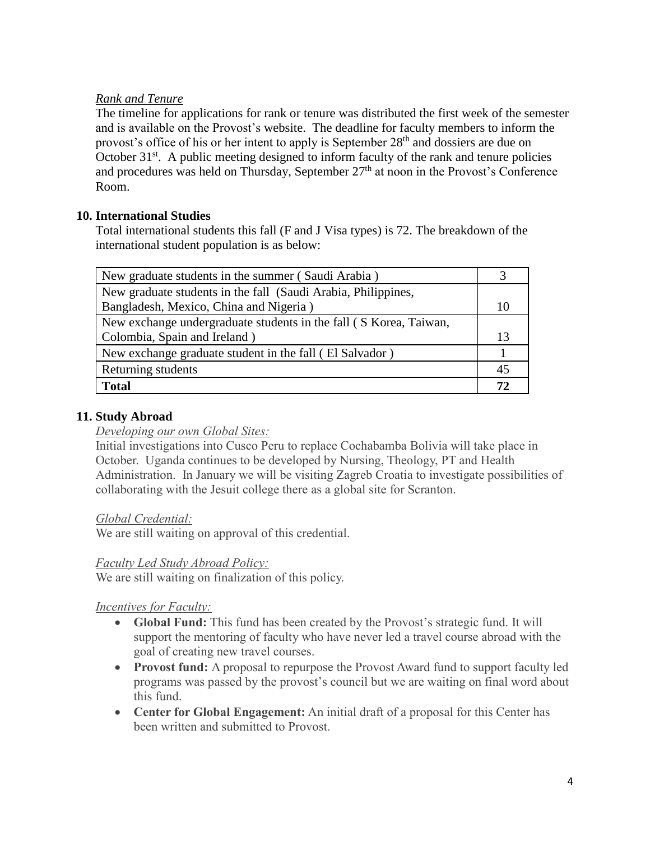## *Rank and Tenure*

The timeline for applications for rank or tenure was distributed the first week of the semester and is available on the Provost's website. The deadline for faculty members to inform the provost's office of his or her intent to apply is September 28<sup>th</sup> and dossiers are due on October  $31<sup>st</sup>$ . A public meeting designed to inform faculty of the rank and tenure policies and procedures was held on Thursday, September  $27<sup>th</sup>$  at noon in the Provost's Conference Room.

## **10. International Studies**

Total international students this fall (F and J Visa types) is 72. The breakdown of the international student population is as below:

| New graduate students in the summer (Saudi Arabia)                |  |  |
|-------------------------------------------------------------------|--|--|
| New graduate students in the fall (Saudi Arabia, Philippines,     |  |  |
| Bangladesh, Mexico, China and Nigeria)                            |  |  |
| New exchange undergraduate students in the fall (S Korea, Taiwan, |  |  |
| Colombia, Spain and Ireland)                                      |  |  |
| New exchange graduate student in the fall (El Salvador)           |  |  |
| Returning students                                                |  |  |
| <b>Total</b>                                                      |  |  |

# **11. Study Abroad**

### *Developing our own Global Sites:*

Initial investigations into Cusco Peru to replace Cochabamba Bolivia will take place in October. Uganda continues to be developed by Nursing, Theology, PT and Health Administration. In January we will be visiting Zagreb Croatia to investigate possibilities of collaborating with the Jesuit college there as a global site for Scranton.

### *Global Credential:*

We are still waiting on approval of this credential.

### *Faculty Led Study Abroad Policy:*

We are still waiting on finalization of this policy.

### *Incentives for Faculty:*

- **Global Fund:** This fund has been created by the Provost's strategic fund. It will support the mentoring of faculty who have never led a travel course abroad with the goal of creating new travel courses.
- **Provost fund:** A proposal to repurpose the Provost Award fund to support faculty led programs was passed by the provost's council but we are waiting on final word about this fund.
- **Center for Global Engagement:** An initial draft of a proposal for this Center has been written and submitted to Provost.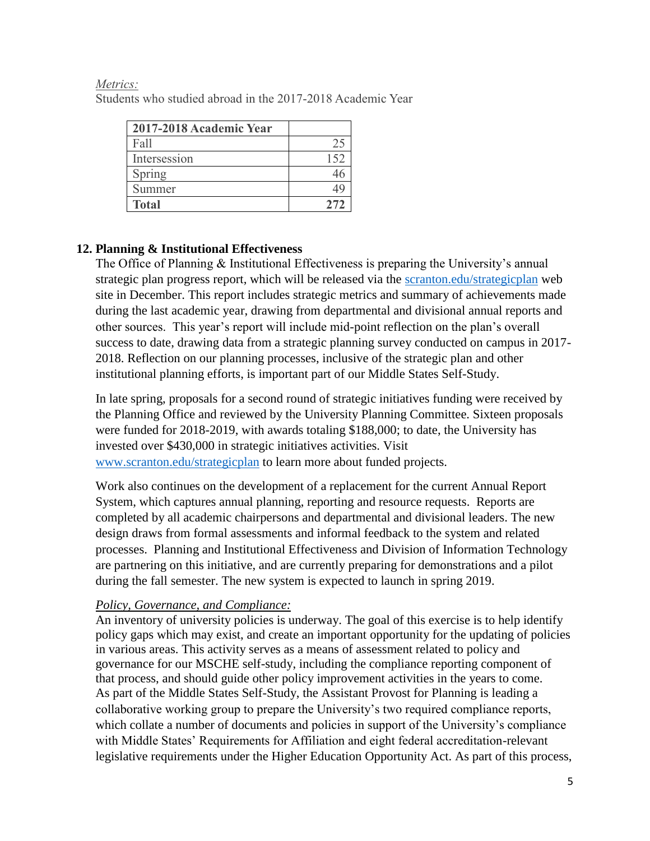| 2017-2018 Academic Year |      |
|-------------------------|------|
| Fall                    |      |
| Intersession            | 152  |
| Spring                  |      |
| Summer                  | 44   |
| <b>Total</b>            | 2.72 |

#### *Metrics:* Students who studied abroad in the 2017-2018 Academic Year

# **12. Planning & Institutional Effectiveness**

The Office of Planning & Institutional Effectiveness is preparing the University's annual strategic plan progress report, which will be released via the [scranton.edu/strategicplan](http://www.scranton.edu/strategicplan) web site in December. This report includes strategic metrics and summary of achievements made during the last academic year, drawing from departmental and divisional annual reports and other sources. This year's report will include mid-point reflection on the plan's overall success to date, drawing data from a strategic planning survey conducted on campus in 2017- 2018. Reflection on our planning processes, inclusive of the strategic plan and other institutional planning efforts, is important part of our Middle States Self-Study.

In late spring, proposals for a second round of strategic initiatives funding were received by the Planning Office and reviewed by the University Planning Committee. Sixteen proposals were funded for 2018-2019, with awards totaling \$188,000; to date, the University has invested over \$430,000 in strategic initiatives activities. Visit [www.scranton.edu/strategicplan](http://www.scranton.edu/strategicplan) to learn more about funded projects.

Work also continues on the development of a replacement for the current Annual Report System, which captures annual planning, reporting and resource requests. Reports are completed by all academic chairpersons and departmental and divisional leaders. The new design draws from formal assessments and informal feedback to the system and related processes. Planning and Institutional Effectiveness and Division of Information Technology are partnering on this initiative, and are currently preparing for demonstrations and a pilot during the fall semester. The new system is expected to launch in spring 2019.

# *Policy, Governance, and Compliance:*

An inventory of university policies is underway. The goal of this exercise is to help identify policy gaps which may exist, and create an important opportunity for the updating of policies in various areas. This activity serves as a means of assessment related to policy and governance for our MSCHE self-study, including the compliance reporting component of that process, and should guide other policy improvement activities in the years to come. As part of the Middle States Self-Study, the Assistant Provost for Planning is leading a collaborative working group to prepare the University's two required compliance reports, which collate a number of documents and policies in support of the University's compliance with Middle States' Requirements for Affiliation and eight federal accreditation-relevant legislative requirements under the Higher Education Opportunity Act. As part of this process,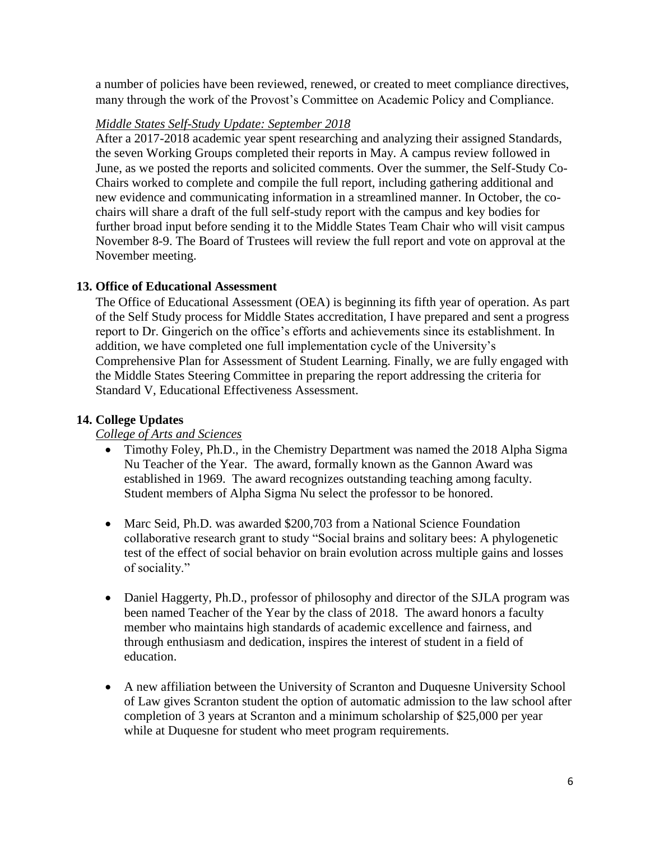a number of policies have been reviewed, renewed, or created to meet compliance directives, many through the work of the Provost's Committee on Academic Policy and Compliance.

### *Middle States Self-Study Update: September 2018*

After a 2017-2018 academic year spent researching and analyzing their assigned Standards, the seven Working Groups completed their reports in May. A campus review followed in June, as we posted the reports and solicited comments. Over the summer, the Self-Study Co-Chairs worked to complete and compile the full report, including gathering additional and new evidence and communicating information in a streamlined manner. In October, the cochairs will share a draft of the full self-study report with the campus and key bodies for further broad input before sending it to the Middle States Team Chair who will visit campus November 8-9. The Board of Trustees will review the full report and vote on approval at the November meeting.

### **13. Office of Educational Assessment**

The Office of Educational Assessment (OEA) is beginning its fifth year of operation. As part of the Self Study process for Middle States accreditation, I have prepared and sent a progress report to Dr. Gingerich on the office's efforts and achievements since its establishment. In addition, we have completed one full implementation cycle of the University's Comprehensive Plan for Assessment of Student Learning. Finally, we are fully engaged with the Middle States Steering Committee in preparing the report addressing the criteria for Standard V, Educational Effectiveness Assessment.

## **14. College Updates**

### *College of Arts and Sciences*

- Timothy Foley, Ph.D., in the Chemistry Department was named the 2018 Alpha Sigma Nu Teacher of the Year. The award, formally known as the Gannon Award was established in 1969. The award recognizes outstanding teaching among faculty. Student members of Alpha Sigma Nu select the professor to be honored.
- Marc Seid, Ph.D. was awarded \$200,703 from a National Science Foundation collaborative research grant to study "Social brains and solitary bees: A phylogenetic test of the effect of social behavior on brain evolution across multiple gains and losses of sociality."
- Daniel Haggerty, Ph.D., professor of philosophy and director of the SJLA program was been named Teacher of the Year by the class of 2018. The award honors a faculty member who maintains high standards of academic excellence and fairness, and through enthusiasm and dedication, inspires the interest of student in a field of education.
- A new affiliation between the University of Scranton and Duquesne University School of Law gives Scranton student the option of automatic admission to the law school after completion of 3 years at Scranton and a minimum scholarship of \$25,000 per year while at Duquesne for student who meet program requirements.